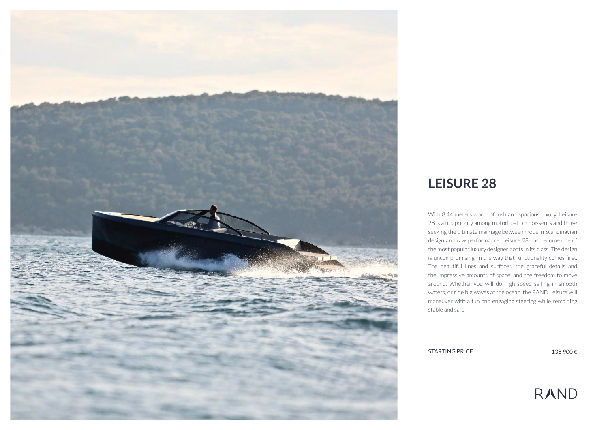

## **LEISURE 28**

With 8,44 meters worth of lush and spacious luxury, Leisure 28 is a top priority among motorboat connoisseurs and those seeking the ultimate marriage between modern Scandinavian design and raw performance. Leisure 28 has become one of the most popular luxury designer boats in its class. The design is uncompromising, in the way that functionality comes first. The beautiful lines and surfaces, the graceful details and the impressive amounts of space, and the freedom to move around. Whether you will do high speed sailing in smooth waters, or ride big waves at the ocean, the RAND Leisure will maneuver with a fun and engaging steering while remaining stable and safe.

STARTING PRICE  $138\,900 \in$ 

# **RAND**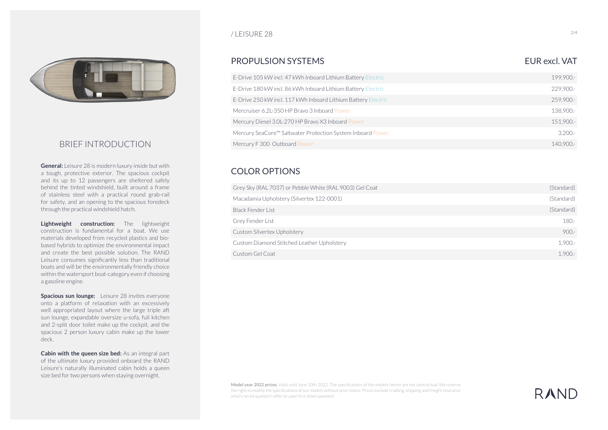

#### BRIEF INTRODUCTION

**General:** Leisure 28 is modern luxury inside but with a tough, protective exterior. The spacious cockpit and its up to 12 passengers are sheltered safely behind the tinted windshield, built around a frame of stainless steel with a practical round grab-rail for safety, and an opening to the spacious foredeck through the practical windshield hatch.

**Lightweight construction:** The lightweight construction is fundamental for a boat. We use materials developed from recycled plastics and biobased hybrids to optimize the environmental impact and create the best possible solution. The RAND Leisure consumes significantly less than traditional boats and will be the environmentally friendly choice within the watersport boat-category even if choosing a gasoline engine.

**Spacious sun lounge:** Leisure 28 invites everyone onto a platform of relaxation with an excessively well appropriated layout where the large triple aft sun lounge, expandable oversize u-sofa, full kitchen and 2-split door toilet make up the cockpit, and the spacious 2 person luxury cabin make up the lower deck.

**Cabin with the queen size bed:** As an integral part of the ultimate luxury provided onboard the RAND Leisure's naturally illuminated cabin holds a queen size bed for two persons when staying overnight.

#### $\mu$  LEISURE 28 2/4

#### PROPULSION SYSTEMS EUR AND THE UNIVERSE EUR AND THE UNIVERSE EUR AND THE UNIVERSE EUR AND THE UNIVERSE ENTITY OF THE USE OF THE USE OF THE USE OF THE USE OF THE USE OF THE USE OF THE USE OF THE USE OF THE USE OF THE USE OF

#### E-Drive 105 kW incl. 47 kWh Inboard Lithium Battery Electric Mercury SeaCore™ Saltwater Protection System Inboard Power 229,900.- 140,900.- 199,900.- 3,200.- E-Drive 180 kW incl. 86 kWh Inboard Lithium Battery Electric Mercury F 300 Outboard Power E-Drive 250 kW incl. 117 kWh Inboard Lithium Battery Electric 259,900.- Mercruiser 6.2L-350 HP Bravo 3 Inboard Power Mercury Diesel 3.0L-270 HP Bravo X3 Inboard Power 138,900.- 151,900.-

#### COLOR OPTIONS

| Grey Sky (RAL 7037) or Pebble White (RAL 9003) Gel Coat | (Standard) |
|---------------------------------------------------------|------------|
| Macadamia Upholstery (Silvertex 122-0001)               | (Standard) |
| Black Fender List                                       | (Standard) |
| Grey Fender List                                        | $180 -$    |
| Custom Silvertex Upholstery                             | $900 -$    |
| Custom Diamond Stitched Leather Upholstery              | $1.900 -$  |
| Custom Gel Coat                                         | $1.900 -$  |

**Model year 2022 prices.** Valid until June 30th 2022. The specifications of the models herein are not contractual. We reserve the right to modify the specifications of our models without prior notice. Prices exclude cradling, shipping and freight insurance which can be quoted in offer or upon first down payment.

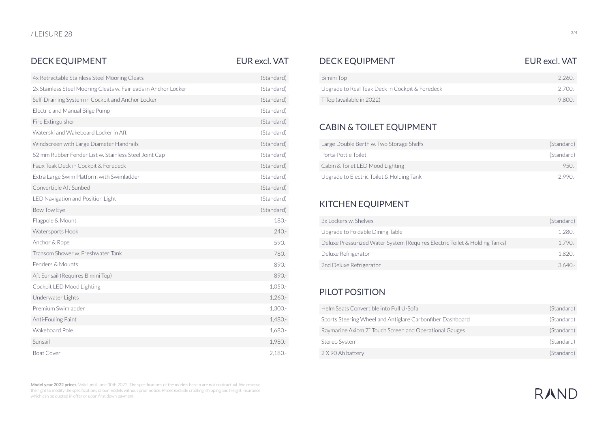#### DECK EQUIPMENT DECK EQUIPMENT EUR excl. VAT EUR excl. VAT

| <b>EUR excl. VAT</b> |  |
|----------------------|--|
|                      |  |
|                      |  |

| 4x Retractable Stainless Steel Mooring Cleats                   | (Standard) | <b>Bimini Top</b>                               |  |
|-----------------------------------------------------------------|------------|-------------------------------------------------|--|
| 2x Stainless Steel Mooring Cleats w. Fairleads in Anchor Locker | (Standard) | Upgrade to Real Teak Deck in Cockpit & Foredeck |  |
| Self-Draining System in Cockpit and Anchor Locker               | (Standard) | T-Top (available in 2022)                       |  |
| Electric and Manual Bilge Pump                                  | (Standard) |                                                 |  |
| Fire Extinguisher                                               | (Standard) | <b>CABIN &amp; TOILET EQUIPMENT</b>             |  |
| Waterski and Wakeboard Locker in Aft.                           | (Standard) |                                                 |  |
| Windscreen with Large Diameter Handrails                        | (Standard) | Large Double Berth w. Two Storage Shelfs        |  |
| 52 mm Rubber Fender List w. Stainless Steel Joint Cap           | (Standard) | Porta-Pottie Toilet                             |  |
| Faux Teak Deck in Cockpit & Foredeck                            | (Standard) | Cabin & Toilet LED Mood Lighting                |  |
| Extra Large Swim Platform with Swimladder                       | (Standard) | Upgrade to Electric Toilet & Holding Tank       |  |
| Convertible Aft Sunbed                                          | (Standard) |                                                 |  |
| LED Navigation and Position Light                               | (Standard) |                                                 |  |
| Bow Tow Eye                                                     | (Standard) | <b>KITCHEN EQUIPMENT</b>                        |  |
| Flagpole & Mount                                                | 180.-      | 3x Lockers w. Shelves                           |  |
| Watersports Hook                                                | $240 -$    | Upgrade to Foldable Dining Table                |  |
| Anchor & Rope                                                   | 590 .-     | Deluxe Pressurized Water System (Requires Elect |  |
| Transom Shower w. Freshwater Tank                               | 780 -      | Deluxe Refrigerator                             |  |
| Fenders & Mounts                                                | 890 .-     | 2nd Deluxe Refrigerator                         |  |
| Aft Sunsail (Requires Bimini Top)                               | 890 .-     |                                                 |  |
| Cockpit LED Mood Lighting                                       | 1,050.-    | PILOT POSITION                                  |  |
| Underwater Lights                                               | $1,260-$   |                                                 |  |
| Premium Swimladder                                              | $1,300.$ - | Helm Seats Convertible into Full U-Sofa         |  |
| Anti-Fouling Paint                                              | 1,480 .-   | Sports Steering Wheel and Antiglare Carbonfiber |  |
| Wakeboard Pole                                                  | 1,680 .-   | Raymarine Axiom 7" Touch Screen and Operation   |  |
| Sunsail                                                         | 1,980 .-   | Stereo System                                   |  |
| <b>Boat Cover</b>                                               | 2,180.     | 2 X 90 Ah battery                               |  |
|                                                                 |            |                                                 |  |

**Model year 2022 prices.** Valid until June 30th 2022. The specifications of the models herein are not contractual. We reserve the right to modify the specifications of our models without prior notice. Prices exclude cradling, shipping and freight insurance which can be quoted in offer or upon first down payment.

| (Standard) | Bimini Top                                      | $2.260 -$ |
|------------|-------------------------------------------------|-----------|
| (Standard) | Upgrade to Real Teak Deck in Cockpit & Foredeck | 2.700.-   |
| (Standard) | T-Top (available in 2022)                       | $9.800 -$ |

### CABIN & TOILET EQUIPMENT

| Large Double Berth w. Two Storage Shelfs  | (Standard) |
|-------------------------------------------|------------|
| Porta-Pottie Toilet                       | (Standard) |
| Cabin & Toilet LED Mood Lighting          | $950 -$    |
| Upgrade to Electric Toilet & Holding Tank | $2.990 -$  |

#### KITCHEN EQUIPMENT

| 3x Lockers w. Shelves                                                      | (Standard) |
|----------------------------------------------------------------------------|------------|
| Upgrade to Foldable Dining Table                                           | 1.280.-    |
| Deluxe Pressurized Water System (Requires Electric Toilet & Holding Tanks) | $1.790 -$  |
| Deluxe Refrigerator                                                        | 1.820.-    |
| 2nd Deluxe Refrigerator                                                    | $3.640 -$  |

## PILOT POSITION

| Helm Seats Convertible into Full U-Sofa                   | (Standard) |
|-----------------------------------------------------------|------------|
| Sports Steering Wheel and Antiglare Carbonfiber Dashboard | (Standard) |
| Raymarine Axiom 7" Touch Screen and Operational Gauges    | (Standard) |
| Stereo System                                             | (Standard) |
| 2 X 90 Ah battery                                         | (Standard) |